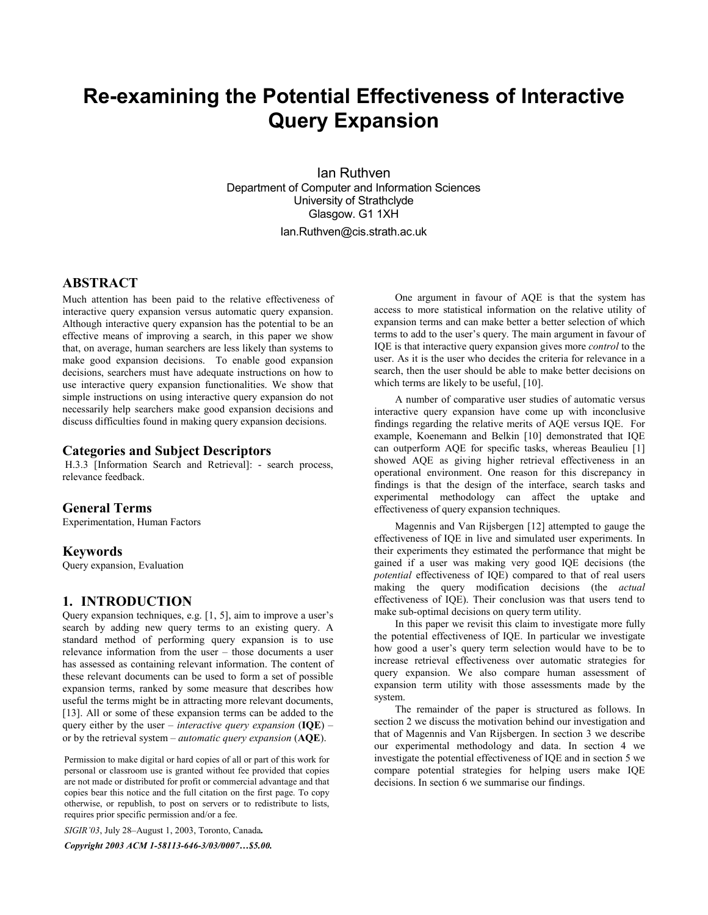# **Re-examining the Potential Effectiveness of Interactive Query Expansion**

Ian Ruthven Department of Computer and Information Sciences University of Strathclyde Glasgow. G1 1XH Ian.Ruthven@cis.strath.ac.uk

# **ABSTRACT**

Much attention has been paid to the relative effectiveness of interactive query expansion versus automatic query expansion. Although interactive query expansion has the potential to be an effective means of improving a search, in this paper we show that, on average, human searchers are less likely than systems to make good expansion decisions. To enable good expansion decisions, searchers must have adequate instructions on how to use interactive query expansion functionalities. We show that simple instructions on using interactive query expansion do not necessarily help searchers make good expansion decisions and discuss difficulties found in making query expansion decisions.

## **Categories and Subject Descriptors**

 H.3.3 [Information Search and Retrieval]: - search process, relevance feedback.

## **General Terms**

Experimentation, Human Factors

#### **Keywords**

Query expansion, Evaluation

### **1. INTRODUCTION**

Query expansion techniques, e.g.  $[1, 5]$ , aim to improve a user's search by adding new query terms to an existing query. A standard method of performing query expansion is to use relevance information from the user  $-$  those documents a user has assessed as containing relevant information. The content of these relevant documents can be used to form a set of possible expansion terms, ranked by some measure that describes how useful the terms might be in attracting more relevant documents, [13]. All or some of these expansion terms can be added to the query either by the user – *interactive query expansion* (**IQE**) – or by the retrieval system – *automatic query expansion* (AQE).

Permission to make digital or hard copies of all or part of this work for personal or classroom use is granted without fee provided that copies are not made or distributed for profit or commercial advantage and that copies bear this notice and the full citation on the first page. To copy otherwise, or republish, to post on servers or to redistribute to lists, requires prior specific permission and/or a fee.

*SIGIR* '03, July 28-August 1, 2003, Toronto, Canada.

Copyright 2003 ACM 1-58113-646-3/03/0007...\$5.00.

One argument in favour of AQE is that the system has access to more statistical information on the relative utility of expansion terms and can make better a better selection of which terms to add to the user's query. The main argument in favour of IQE is that interactive query expansion gives more *control* to the user. As it is the user who decides the criteria for relevance in a search, then the user should be able to make better decisions on which terms are likely to be useful, [10].

A number of comparative user studies of automatic versus interactive query expansion have come up with inconclusive findings regarding the relative merits of AQE versus IQE. For example, Koenemann and Belkin [10] demonstrated that IQE can outperform AQE for specific tasks, whereas Beaulieu [1] showed AQE as giving higher retrieval effectiveness in an operational environment. One reason for this discrepancy in findings is that the design of the interface, search tasks and experimental methodology can affect the uptake and effectiveness of query expansion techniques.

Magennis and Van Rijsbergen [12] attempted to gauge the effectiveness of IQE in live and simulated user experiments. In their experiments they estimated the performance that might be gained if a user was making very good IQE decisions (the *potential* effectiveness of IQE) compared to that of real users making the query modification decisions (the *actual* effectiveness of IQE). Their conclusion was that users tend to make sub-optimal decisions on query term utility.

In this paper we revisit this claim to investigate more fully the potential effectiveness of IQE. In particular we investigate how good a user's query term selection would have to be to increase retrieval effectiveness over automatic strategies for query expansion. We also compare human assessment of expansion term utility with those assessments made by the system.

The remainder of the paper is structured as follows. In section 2 we discuss the motivation behind our investigation and that of Magennis and Van Rijsbergen. In section 3 we describe our experimental methodology and data. In section 4 we investigate the potential effectiveness of IQE and in section 5 we compare potential strategies for helping users make IQE decisions. In section 6 we summarise our findings.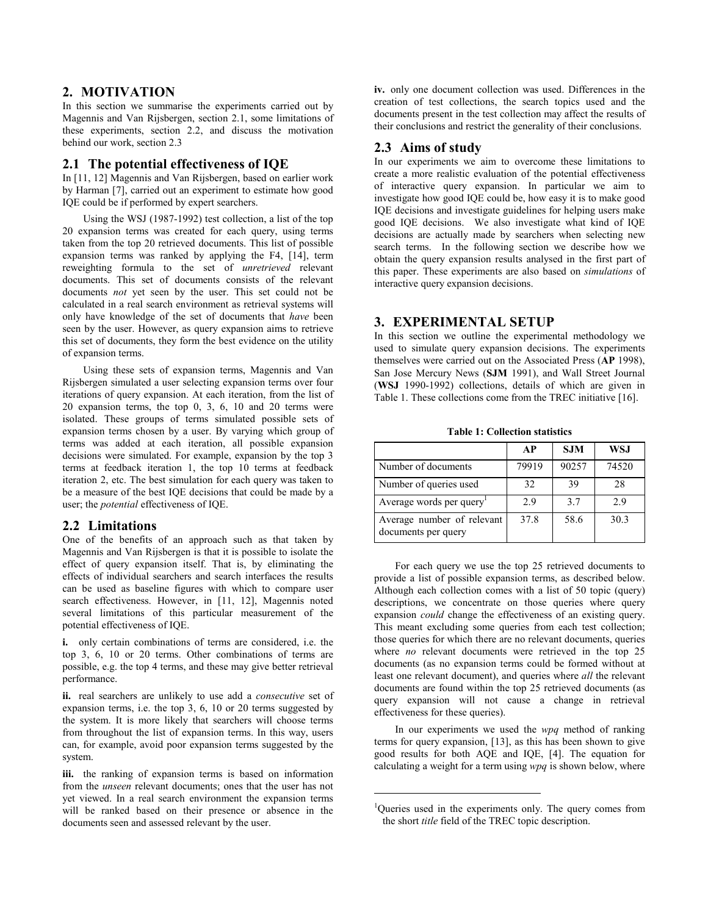# **2. MOTIVATION**

In this section we summarise the experiments carried out by Magennis and Van Rijsbergen, section 2.1, some limitations of these experiments, section 2.2, and discuss the motivation behind our work, section 2.3

#### **2.1 The potential effectiveness of IQE**

In [11, 12] Magennis and Van Rijsbergen, based on earlier work by Harman [7], carried out an experiment to estimate how good IQE could be if performed by expert searchers.

Using the WSJ (1987-1992) test collection, a list of the top 20 expansion terms was created for each query, using terms taken from the top 20 retrieved documents. This list of possible expansion terms was ranked by applying the F4, [14], term reweighting formula to the set of *unretrieved* relevant documents. This set of documents consists of the relevant documents *not* yet seen by the user. This set could not be calculated in a real search environment as retrieval systems will only have knowledge of the set of documents that *have* been seen by the user. However, as query expansion aims to retrieve this set of documents, they form the best evidence on the utility of expansion terms.

Using these sets of expansion terms, Magennis and Van Rijsbergen simulated a user selecting expansion terms over four iterations of query expansion. At each iteration, from the list of 20 expansion terms, the top 0, 3, 6, 10 and 20 terms were isolated. These groups of terms simulated possible sets of expansion terms chosen by a user. By varying which group of terms was added at each iteration, all possible expansion decisions were simulated. For example, expansion by the top 3 terms at feedback iteration 1, the top 10 terms at feedback iteration 2, etc. The best simulation for each query was taken to be a measure of the best IQE decisions that could be made by a user; the *potential* effectiveness of IQE.

#### **2.2 Limitations**

One of the benefits of an approach such as that taken by Magennis and Van Rijsbergen is that it is possible to isolate the effect of query expansion itself. That is, by eliminating the effects of individual searchers and search interfaces the results can be used as baseline figures with which to compare user search effectiveness. However, in [11, 12], Magennis noted several limitations of this particular measurement of the potential effectiveness of IQE.

**i.** only certain combinations of terms are considered, i.e. the top 3, 6, 10 or 20 terms. Other combinations of terms are possible, e.g. the top 4 terms, and these may give better retrieval performance.

**ii.** real searchers are unlikely to use add a *consecutive* set of expansion terms, i.e. the top 3, 6, 10 or 20 terms suggested by the system. It is more likely that searchers will choose terms from throughout the list of expansion terms. In this way, users can, for example, avoid poor expansion terms suggested by the system.

**iii.** the ranking of expansion terms is based on information from the *unseen* relevant documents; ones that the user has not yet viewed. In a real search environment the expansion terms will be ranked based on their presence or absence in the documents seen and assessed relevant by the user.

**iv.** only one document collection was used. Differences in the creation of test collections, the search topics used and the documents present in the test collection may affect the results of their conclusions and restrict the generality of their conclusions.

## **2.3 Aims of study**

In our experiments we aim to overcome these limitations to create a more realistic evaluation of the potential effectiveness of interactive query expansion. In particular we aim to investigate how good IQE could be, how easy it is to make good IQE decisions and investigate guidelines for helping users make good IQE decisions. We also investigate what kind of IQE decisions are actually made by searchers when selecting new search terms. In the following section we describe how we obtain the query expansion results analysed in the first part of this paper. These experiments are also based on *simulations* of interactive query expansion decisions.

#### **3. EXPERIMENTAL SETUP**

In this section we outline the experimental methodology we used to simulate query expansion decisions. The experiments themselves were carried out on the Associated Press (**AP** 1998), San Jose Mercury News (**SJM** 1991), and Wall Street Journal (**WSJ** 1990-1992) collections, details of which are given in Table 1. These collections come from the TREC initiative [16].

**Table 1: Collection statistics** 

|                                                   | AP    | <b>SJM</b> | WSJ   |
|---------------------------------------------------|-------|------------|-------|
| Number of documents                               | 79919 | 90257      | 74520 |
| Number of queries used                            | 32    | 39         | 28    |
| Average words per query                           | 2.9   | 37         | 2.9   |
| Average number of relevant<br>documents per query | 37.8  | 58.6       | 30.3  |

For each query we use the top 25 retrieved documents to provide a list of possible expansion terms, as described below. Although each collection comes with a list of 50 topic (query) descriptions, we concentrate on those queries where query expansion *could* change the effectiveness of an existing query. This meant excluding some queries from each test collection; those queries for which there are no relevant documents, queries where *no* relevant documents were retrieved in the top 25 documents (as no expansion terms could be formed without at least one relevant document), and queries where *all* the relevant documents are found within the top 25 retrieved documents (as query expansion will not cause a change in retrieval effectiveness for these queries).

In our experiments we used the *wpq* method of ranking terms for query expansion, [13], as this has been shown to give good results for both AQE and IQE, [4]. The equation for calculating a weight for a term using *wpq* is shown below, where

j

<sup>&</sup>lt;sup>1</sup>Queries used in the experiments only. The query comes from the short *title* field of the TREC topic description.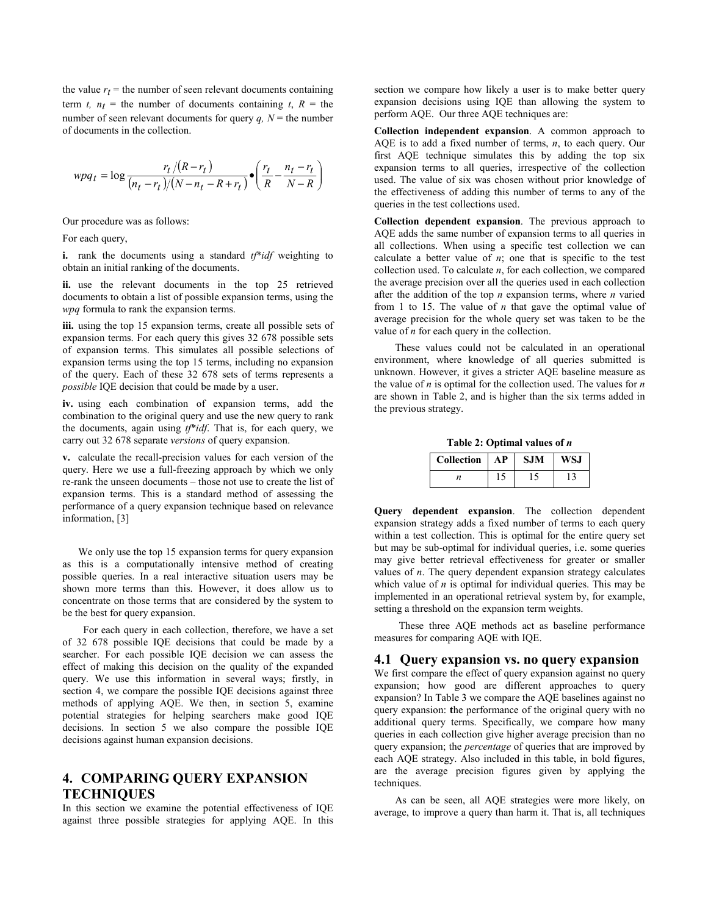the value  $r_t$  = the number of seen relevant documents containing term *t*,  $n_t$  = the number of documents containing *t*,  $R$  = the number of seen relevant documents for query  $q$ ,  $N =$  the number of documents in the collection.

$$
wpq_t = \log \frac{r_t/(R - r_t)}{(n_t - r_t)/(N - n_t - R + r_t)} \cdot \left(\frac{r_t}{R} - \frac{n_t - r_t}{N - R}\right)
$$

Our procedure was as follows:

For each query,

**i.** rank the documents using a standard *tf*\**idf* weighting to obtain an initial ranking of the documents.

**ii.** use the relevant documents in the top 25 retrieved documents to obtain a list of possible expansion terms, using the *wpq* formula to rank the expansion terms.

**iii.** using the top 15 expansion terms, create all possible sets of expansion terms. For each query this gives 32 678 possible sets of expansion terms. This simulates all possible selections of expansion terms using the top 15 terms, including no expansion of the query. Each of these 32 678 sets of terms represents a *possible* IQE decision that could be made by a user.

**iv.** using each combination of expansion terms, add the combination to the original query and use the new query to rank the documents, again using *tf*\**idf*. That is, for each query, we carry out 32 678 separate *versions* of query expansion.

**v.** calculate the recall-precision values for each version of the query. Here we use a full-freezing approach by which we only re-rank the unseen documents – those not use to create the list of expansion terms. This is a standard method of assessing the performance of a query expansion technique based on relevance information, [3]

We only use the top 15 expansion terms for query expansion as this is a computationally intensive method of creating possible queries. In a real interactive situation users may be shown more terms than this. However, it does allow us to concentrate on those terms that are considered by the system to be the best for query expansion.

For each query in each collection, therefore, we have a set of 32 678 possible IQE decisions that could be made by a searcher. For each possible IQE decision we can assess the effect of making this decision on the quality of the expanded query. We use this information in several ways; firstly, in section 4, we compare the possible IQE decisions against three methods of applying AQE. We then, in section 5, examine potential strategies for helping searchers make good IQE decisions. In section 5 we also compare the possible IQE decisions against human expansion decisions.

# **4. COMPARING QUERY EXPANSION TECHNIQUES**

In this section we examine the potential effectiveness of IQE against three possible strategies for applying AQE. In this

section we compare how likely a user is to make better query expansion decisions using IQE than allowing the system to perform AQE. Our three AQE techniques are:

**Collection independent expansion**. A common approach to AQE is to add a fixed number of terms, *n*, to each query. Our first AQE technique simulates this by adding the top six expansion terms to all queries, irrespective of the collection used. The value of six was chosen without prior knowledge of the effectiveness of adding this number of terms to any of the queries in the test collections used.

**Collection dependent expansion**. The previous approach to AQE adds the same number of expansion terms to all queries in all collections. When using a specific test collection we can calculate a better value of  $n$ ; one that is specific to the test collection used. To calculate *n*, for each collection, we compared the average precision over all the queries used in each collection after the addition of the top *n* expansion terms, where *n* varied from 1 to 15. The value of *n* that gave the optimal value of average precision for the whole query set was taken to be the value of *n* for each query in the collection.

These values could not be calculated in an operational environment, where knowledge of all queries submitted is unknown. However, it gives a stricter AQE baseline measure as the value of *n* is optimal for the collection used. The values for *n* are shown in Table 2, and is higher than the six terms added in the previous strategy.

**Table 2: Optimal values of** *n* 

| Collection | АP | <b>SJM</b> | WS.I |
|------------|----|------------|------|
|            |    |            |      |

**Query dependent expansion**. The collection dependent expansion strategy adds a fixed number of terms to each query within a test collection. This is optimal for the entire query set but may be sub-optimal for individual queries, i.e. some queries may give better retrieval effectiveness for greater or smaller values of *n*. The query dependent expansion strategy calculates which value of  $n$  is optimal for individual queries. This may be implemented in an operational retrieval system by, for example, setting a threshold on the expansion term weights.

 These three AQE methods act as baseline performance measures for comparing AQE with IQE.

#### **4.1 Query expansion vs. no query expansion**

We first compare the effect of query expansion against no query expansion; how good are different approaches to query expansion? In Table 3 we compare the AQE baselines against no query expansion: **t**he performance of the original query with no additional query terms. Specifically, we compare how many queries in each collection give higher average precision than no query expansion; the *percentage* of queries that are improved by each AQE strategy. Also included in this table, in bold figures, are the average precision figures given by applying the techniques.

As can be seen, all AQE strategies were more likely, on average, to improve a query than harm it. That is, all techniques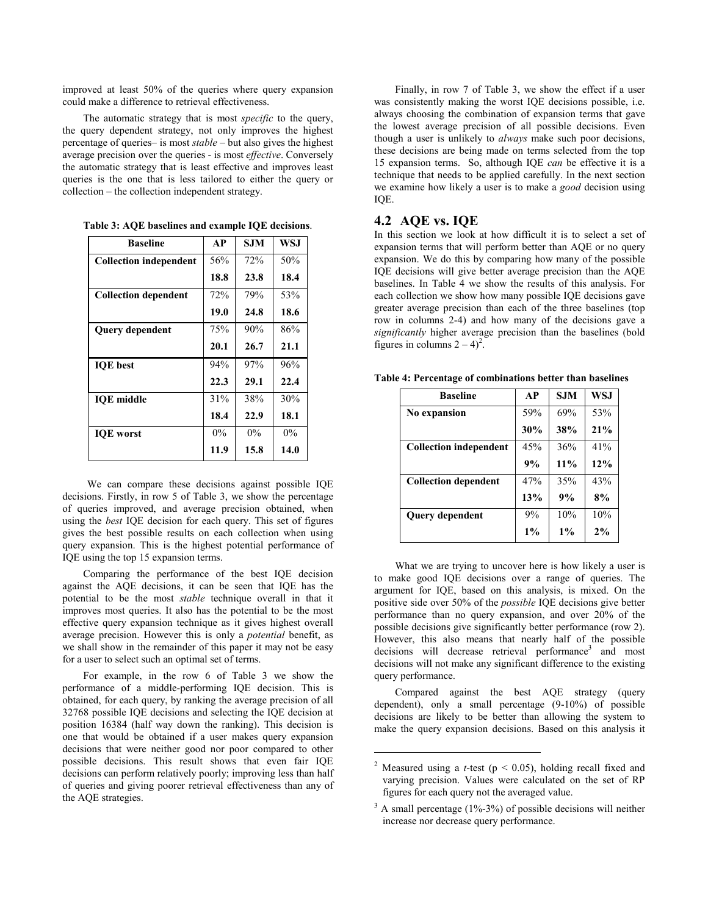improved at least 50% of the queries where query expansion could make a difference to retrieval effectiveness.

The automatic strategy that is most *specific* to the query, the query dependent strategy, not only improves the highest percentage of queries- is most *stable* – but also gives the highest average precision over the queries - is most *effective*. Conversely the automatic strategy that is least effective and improves least queries is the one that is less tailored to either the query or collection – the collection independent strategy.

| <b>Baseline</b>               | AP    | S.IM  | <b>WSJ</b> |
|-------------------------------|-------|-------|------------|
| <b>Collection independent</b> | 56%   | 72%   | 50%        |
|                               | 18.8  | 23.8  | 18.4       |
| <b>Collection dependent</b>   | 72%   | 79%   | 53%        |
|                               | 19.0  | 24.8  | 18.6       |
| <b>Query dependent</b>        | 75%   | 90%   | 86%        |
|                               | 20.1  | 26.7  | 21.1       |
| <b>IOE</b> best               | 94%   | 97%   | 96%        |
|                               | 22.3  | 29.1  | 22.4       |
| <b>IOE</b> middle             | 31%   | 38%   | 30%        |
|                               | 18.4  | 22.9  | 18.1       |
| <b>IOE</b> worst              | $0\%$ | $0\%$ | $0\%$      |
|                               | 11.9  | 15.8  | 14.0       |

**Table 3: AQE baselines and example IQE decisions**.

We can compare these decisions against possible IQE decisions. Firstly, in row 5 of Table 3, we show the percentage of queries improved, and average precision obtained, when using the *best* IQE decision for each query. This set of figures gives the best possible results on each collection when using query expansion. This is the highest potential performance of IQE using the top 15 expansion terms.

Comparing the performance of the best IQE decision against the AQE decisions, it can be seen that IQE has the potential to be the most *stable* technique overall in that it improves most queries. It also has the potential to be the most effective query expansion technique as it gives highest overall average precision. However this is only a *potential* benefit, as we shall show in the remainder of this paper it may not be easy for a user to select such an optimal set of terms.

For example, in the row 6 of Table 3 we show the performance of a middle-performing IQE decision. This is obtained, for each query, by ranking the average precision of all 32768 possible IQE decisions and selecting the IQE decision at position 16384 (half way down the ranking). This decision is one that would be obtained if a user makes query expansion decisions that were neither good nor poor compared to other possible decisions. This result shows that even fair IQE decisions can perform relatively poorly; improving less than half of queries and giving poorer retrieval effectiveness than any of the AQE strategies.

Finally, in row 7 of Table 3, we show the effect if a user was consistently making the worst IQE decisions possible, i.e. always choosing the combination of expansion terms that gave the lowest average precision of all possible decisions. Even though a user is unlikely to *always* make such poor decisions, these decisions are being made on terms selected from the top 15 expansion terms. So, although IQE *can* be effective it is a technique that needs to be applied carefully. In the next section we examine how likely a user is to make a *good* decision using IQE.

## **4.2 AQE vs. IQE**

In this section we look at how difficult it is to select a set of expansion terms that will perform better than AQE or no query expansion. We do this by comparing how many of the possible IQE decisions will give better average precision than the AQE baselines. In Table 4 we show the results of this analysis. For each collection we show how many possible IQE decisions gave greater average precision than each of the three baselines (top row in columns 2-4) and how many of the decisions gave a *significantly* higher average precision than the baselines (bold figures in columns  $2 - 4$ <sup>2</sup>.

**Table 4: Percentage of combinations better than baselines**

| <b>Baseline</b>               | AP  | <b>SJM</b> | <b>WSJ</b> |
|-------------------------------|-----|------------|------------|
| <b>No expansion</b>           | 59% | 69%        | 53%        |
|                               | 30% | 38%        | 21%        |
| <b>Collection independent</b> | 45% | 36%        | 41%        |
|                               | 9%  | 11%        | 12%        |
| <b>Collection dependent</b>   | 47% | 35%        | 43%        |
|                               | 13% | 9%         | 8%         |
| <b>Query dependent</b>        | 9%  | 10%        | 10%        |
|                               | 1%  | 1%         | 2%         |

What we are trying to uncover here is how likely a user is to make good IQE decisions over a range of queries. The argument for IQE, based on this analysis, is mixed. On the positive side over 50% of the *possible* IQE decisions give better performance than no query expansion, and over 20% of the possible decisions give significantly better performance (row 2). However, this also means that nearly half of the possible decisions will decrease retrieval performance<sup>3</sup> and most decisions will not make any significant difference to the existing query performance.

Compared against the best AQE strategy (query dependent), only a small percentage (9-10%) of possible decisions are likely to be better than allowing the system to make the query expansion decisions. Based on this analysis it

j

<sup>&</sup>lt;sup>2</sup> Measured using a *t*-test ( $p < 0.05$ ), holding recall fixed and varying precision. Values were calculated on the set of RP figures for each query not the averaged value.

<sup>&</sup>lt;sup>3</sup> A small percentage (1%-3%) of possible decisions will neither increase nor decrease query performance.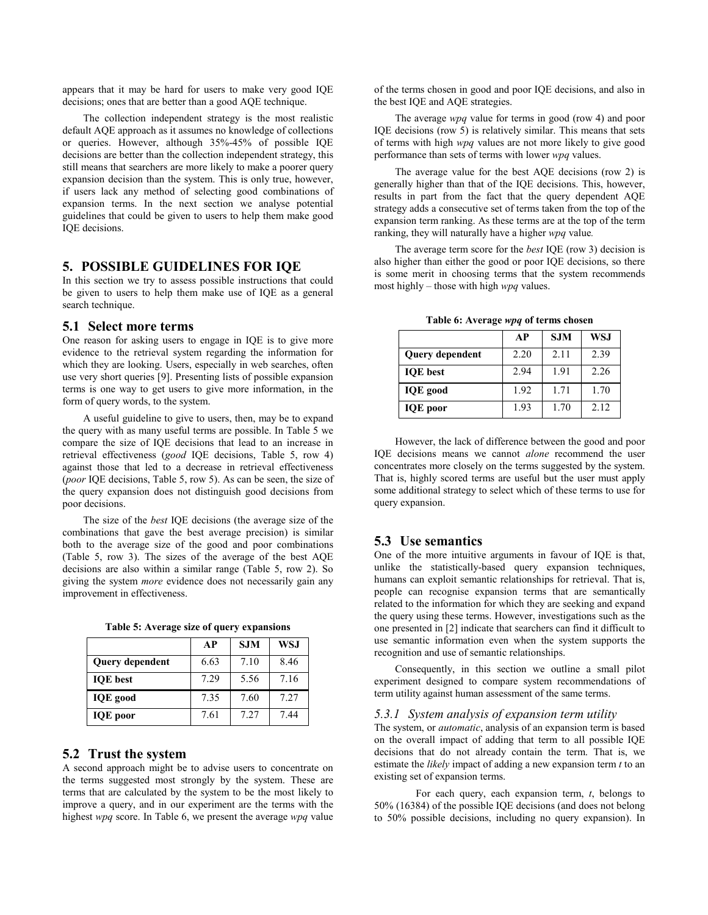appears that it may be hard for users to make very good IQE decisions; ones that are better than a good AQE technique.

The collection independent strategy is the most realistic default AQE approach as it assumes no knowledge of collections or queries. However, although 35%-45% of possible IQE decisions are better than the collection independent strategy, this still means that searchers are more likely to make a poorer query expansion decision than the system. This is only true, however, if users lack any method of selecting good combinations of expansion terms. In the next section we analyse potential guidelines that could be given to users to help them make good IQE decisions.

# **5. POSSIBLE GUIDELINES FOR IQE**

In this section we try to assess possible instructions that could be given to users to help them make use of IQE as a general search technique.

#### **5.1 Select more terms**

One reason for asking users to engage in IQE is to give more evidence to the retrieval system regarding the information for which they are looking. Users, especially in web searches, often use very short queries [9]. Presenting lists of possible expansion terms is one way to get users to give more information, in the form of query words, to the system.

A useful guideline to give to users, then, may be to expand the query with as many useful terms are possible. In Table 5 we compare the size of IQE decisions that lead to an increase in retrieval effectiveness (*good* IQE decisions, Table 5, row 4) against those that led to a decrease in retrieval effectiveness (*poor* IQE decisions, Table 5, row 5). As can be seen, the size of the query expansion does not distinguish good decisions from poor decisions.

The size of the *best* IQE decisions (the average size of the combinations that gave the best average precision) is similar both to the average size of the good and poor combinations (Table 5, row 3). The sizes of the average of the best AQE decisions are also within a similar range (Table 5, row 2). So giving the system *more* evidence does not necessarily gain any improvement in effectiveness.

|  |  | Table 5: Average size of query expansions |
|--|--|-------------------------------------------|
|  |  |                                           |

|                        | AP   | <b>SJM</b> | WS.I |
|------------------------|------|------------|------|
| <b>Query dependent</b> | 6.63 | 7.10       | 8.46 |
| <b>IOE</b> best        | 7.29 | 5.56       | 7.16 |
| <b>IQE</b> good        | 7.35 | 7.60       | 7.27 |
| <b>IQE</b> poor        | 7.61 | 7.27       | 744  |

#### **5.2 Trust the system**

A second approach might be to advise users to concentrate on the terms suggested most strongly by the system. These are terms that are calculated by the system to be the most likely to improve a query, and in our experiment are the terms with the highest *wpq* score. In Table 6, we present the average *wpq* value of the terms chosen in good and poor IQE decisions, and also in the best IQE and AQE strategies.

The average *wpq* value for terms in good (row 4) and poor IQE decisions (row 5) is relatively similar. This means that sets of terms with high *wpq* values are not more likely to give good performance than sets of terms with lower *wpq* values.

The average value for the best AQE decisions (row 2) is generally higher than that of the IQE decisions. This, however, results in part from the fact that the query dependent AQE strategy adds a consecutive set of terms taken from the top of the expansion term ranking. As these terms are at the top of the term ranking, they will naturally have a higher *wpq* value*.* 

The average term score for the *best* IQE (row 3) decision is also higher than either the good or poor IQE decisions, so there is some merit in choosing terms that the system recommends most highly – those with high  $wpq$  values.

|                 | AP   | <b>SJM</b> | <b>WSJ</b> |
|-----------------|------|------------|------------|
| Query dependent | 2.20 | 2.11       | 2.39       |
| <b>IOE</b> best | 2.94 | 1.91       | 2.26       |
| <b>IQE</b> good | 1.92 | 1.71       | 1.70       |
| <b>IQE</b> poor | 1.93 | 1.70       | 2.12       |

**Table 6: Average** *wpq* **of terms chosen** 

However, the lack of difference between the good and poor IQE decisions means we cannot *alone* recommend the user concentrates more closely on the terms suggested by the system. That is, highly scored terms are useful but the user must apply some additional strategy to select which of these terms to use for query expansion.

# **5.3 Use semantics**

One of the more intuitive arguments in favour of IQE is that, unlike the statistically-based query expansion techniques, humans can exploit semantic relationships for retrieval. That is, people can recognise expansion terms that are semantically related to the information for which they are seeking and expand the query using these terms. However, investigations such as the one presented in [2] indicate that searchers can find it difficult to use semantic information even when the system supports the recognition and use of semantic relationships.

Consequently, in this section we outline a small pilot experiment designed to compare system recommendations of term utility against human assessment of the same terms.

### *5.3.1 System analysis of expansion term utility*

The system, or *automatic*, analysis of an expansion term is based on the overall impact of adding that term to all possible IQE decisions that do not already contain the term. That is, we estimate the *likely* impact of adding a new expansion term *t* to an existing set of expansion terms.

 For each query, each expansion term, *t*, belongs to 50% (16384) of the possible IQE decisions (and does not belong to 50% possible decisions, including no query expansion). In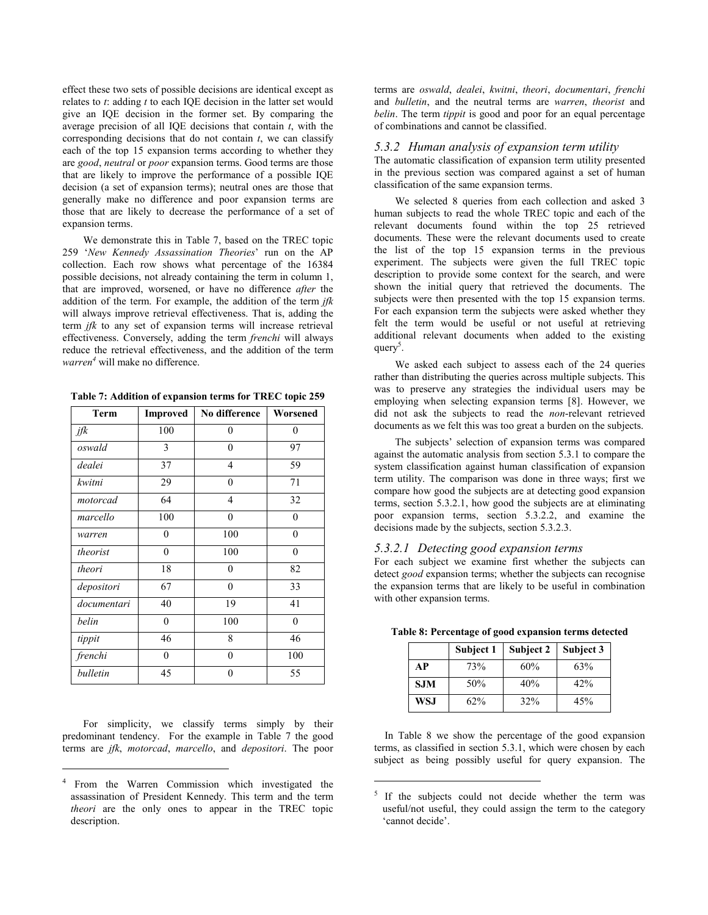effect these two sets of possible decisions are identical except as relates to *t*: adding *t* to each IQE decision in the latter set would give an IQE decision in the former set. By comparing the average precision of all IQE decisions that contain *t*, with the corresponding decisions that do not contain *t*, we can classify each of the top 15 expansion terms according to whether they are *good*, *neutral* or *poor* expansion terms. Good terms are those that are likely to improve the performance of a possible IQE decision (a set of expansion terms); neutral ones are those that generally make no difference and poor expansion terms are those that are likely to decrease the performance of a set of expansion terms.

We demonstrate this in Table 7, based on the TREC topic 259 ë*New Kennedy Assassination Theories*í run on the AP collection. Each row shows what percentage of the 16384 possible decisions, not already containing the term in column 1, that are improved, worsened, or have no difference *after* the addition of the term. For example, the addition of the term *jfk* will always improve retrieval effectiveness. That is, adding the term *jfk* to any set of expansion terms will increase retrieval effectiveness. Conversely, adding the term *frenchi* will always reduce the retrieval effectiveness, and the addition of the term *warren<sup>4</sup>* will make no difference.

**Table 7: Addition of expansion terms for TREC topic 259** 

| Term        | Improved     | No difference    | Worsened     |  |
|-------------|--------------|------------------|--------------|--|
| jfk         | 100          | $\theta$         | $\mathbf{0}$ |  |
| oswald      | 3            | $\theta$         | 97           |  |
| dealei      | 37           | 4                | 59           |  |
| kwitni      | 29           | $\overline{0}$   | 71           |  |
| motorcad    | 64           | 4                | 32           |  |
| marcello    | 100          | $\overline{0}$   | $\mathbf{0}$ |  |
| warren      | 0            | 100              | $\mathbf{0}$ |  |
| theorist    | $\mathbf{0}$ | 100              | $\mathbf{0}$ |  |
| theori      | 18           | 0                | 82           |  |
| depositori  | 67           | $\theta$         | 33           |  |
| documentari | 40           | 19               | 41           |  |
| belin       | $\mathbf{0}$ | 100              | $\mathbf{0}$ |  |
| tippit      | 46           | 8                | 46           |  |
| frenchi     | $\mathbf{0}$ | $\theta$         | 100          |  |
| bulletin    | 45           | $\boldsymbol{0}$ | 55           |  |

For simplicity, we classify terms simply by their predominant tendency. For the example in Table 7 the good terms are *jfk*, *motorcad*, *marcello*, and *depositori*. The poor

j

terms are *oswald*, *dealei*, *kwitni*, *theori*, *documentari*, *frenchi* and *bulletin*, and the neutral terms are *warren*, *theorist* and *belin*. The term *tippit* is good and poor for an equal percentage of combinations and cannot be classified.

#### *5.3.2 Human analysis of expansion term utility*

The automatic classification of expansion term utility presented in the previous section was compared against a set of human classification of the same expansion terms.

We selected 8 queries from each collection and asked 3 human subjects to read the whole TREC topic and each of the relevant documents found within the top 25 retrieved documents. These were the relevant documents used to create the list of the top 15 expansion terms in the previous experiment. The subjects were given the full TREC topic description to provide some context for the search, and were shown the initial query that retrieved the documents. The subjects were then presented with the top 15 expansion terms. For each expansion term the subjects were asked whether they felt the term would be useful or not useful at retrieving additional relevant documents when added to the existing query<sup>5</sup>.

We asked each subject to assess each of the 24 queries rather than distributing the queries across multiple subjects. This was to preserve any strategies the individual users may be employing when selecting expansion terms [8]. However, we did not ask the subjects to read the *non*-relevant retrieved documents as we felt this was too great a burden on the subjects.

The subjects' selection of expansion terms was compared against the automatic analysis from section 5.3.1 to compare the system classification against human classification of expansion term utility. The comparison was done in three ways; first we compare how good the subjects are at detecting good expansion terms, section 5.3.2.1, how good the subjects are at eliminating poor expansion terms, section 5.3.2.2, and examine the decisions made by the subjects, section 5.3.2.3.

#### *5.3.2.1 Detecting good expansion terms*

For each subject we examine first whether the subjects can detect *good* expansion terms; whether the subjects can recognise the expansion terms that are likely to be useful in combination with other expansion terms.

|            | Subject 1 | Subject 2 | Subject 3 |
|------------|-----------|-----------|-----------|
| АP         | 73%       | 60%       | 63%       |
| <b>SJM</b> | 50%       | 40%       | 42%       |

**WSJ** 62% 32% 45%

**Table 8: Percentage of good expansion terms detected** 

In Table 8 we show the percentage of the good expansion terms, as classified in section 5.3.1, which were chosen by each subject as being possibly useful for query expansion. The

j

<sup>4</sup> From the Warren Commission which investigated the assassination of President Kennedy. This term and the term *theori* are the only ones to appear in the TREC topic description.

<sup>5</sup> If the subjects could not decide whether the term was useful/not useful, they could assign the term to the category 'cannot decide'.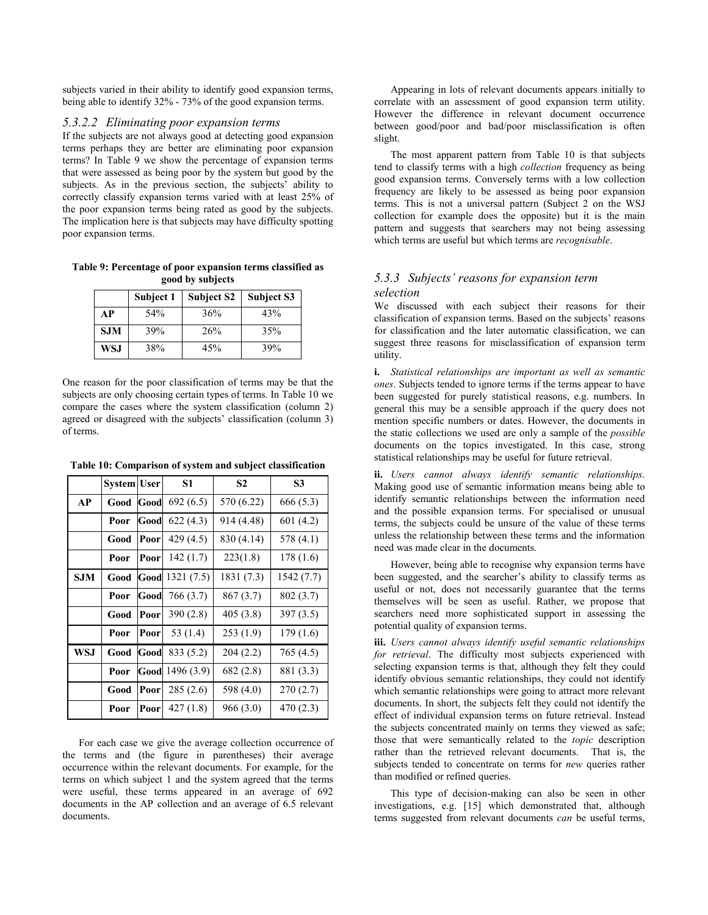subjects varied in their ability to identify good expansion terms, being able to identify 32% - 73% of the good expansion terms.

#### *5.3.2.2 Eliminating poor expansion terms*

If the subjects are not always good at detecting good expansion terms perhaps they are better are eliminating poor expansion terms? In Table 9 we show the percentage of expansion terms that were assessed as being poor by the system but good by the subjects. As in the previous section, the subjects' ability to correctly classify expansion terms varied with at least 25% of the poor expansion terms being rated as good by the subjects. The implication here is that subjects may have difficulty spotting poor expansion terms.

**Table 9: Percentage of poor expansion terms classified as good by subjects** 

|            | Subject 1 | <b>Subject S2</b> | <b>Subject S3</b> |
|------------|-----------|-------------------|-------------------|
| AP         | 54%       | 36%               | 43%               |
| <b>SJM</b> | 39%       | 26%               | 35%               |
| WS.I       | 38%       | 45%               | 39%               |

One reason for the poor classification of terms may be that the subjects are only choosing certain types of terms. In Table 10 we compare the cases where the system classification (column 2) agreed or disagreed with the subjects' classification (column 3) of terms.

|            | <b>System User</b> |      | S1         | S <sub>2</sub> | S <sub>3</sub> |
|------------|--------------------|------|------------|----------------|----------------|
| AP         | Good               | Good | 692(6.5)   | 570 (6.22)     | 666 (5.3)      |
|            | Poor               | Good | 622(4.3)   | 914 (4.48)     | 601 (4.2)      |
|            | Good               | Poor | 429 (4.5)  | 830 (4.14)     | 578 (4.1)      |
|            | Poor               | Poor | 142(1.7)   | 223(1.8)       | 178 (1.6)      |
| <b>SJM</b> | Good               | Good | 1321(7.5)  | 1831 (7.3)     | 1542 (7.7)     |
|            | Poor               | Good | 766 (3.7)  | 867 (3.7)      | 802 (3.7)      |
|            | Good               | Poor | 390(2.8)   | 405(3.8)       | 397(3.5)       |
|            | Poor               | Poor | 53 (1.4)   | 253(1.9)       | 179(1.6)       |
| <b>WSJ</b> | Good               | Good | 833 (5.2)  | 204(2.2)       | 765 (4.5)      |
|            | Poor               | Good | 1496 (3.9) | 682(2.8)       | 881 (3.3)      |
|            | Good               | Poor | 285(2.6)   | 598 (4.0)      | 270(2.7)       |
|            | Poor               | Poor | 427(1.8)   | 966(3.0)       | 470 (2.3)      |

**Table 10: Comparison of system and subject classification** 

For each case we give the average collection occurrence of the terms and (the figure in parentheses) their average occurrence within the relevant documents. For example, for the terms on which subject 1 and the system agreed that the terms were useful, these terms appeared in an average of 692 documents in the AP collection and an average of 6.5 relevant documents.

Appearing in lots of relevant documents appears initially to correlate with an assessment of good expansion term utility. However the difference in relevant document occurrence between good/poor and bad/poor misclassification is often slight.

The most apparent pattern from Table 10 is that subjects tend to classify terms with a high *collection* frequency as being good expansion terms. Conversely terms with a low collection frequency are likely to be assessed as being poor expansion terms. This is not a universal pattern (Subject 2 on the WSJ collection for example does the opposite) but it is the main pattern and suggests that searchers may not being assessing which terms are useful but which terms are *recognisable*.

#### 5.3.3 Subjects' reasons for expansion term *selection*

We discussed with each subject their reasons for their classification of expansion terms. Based on the subjects' reasons for classification and the later automatic classification, we can suggest three reasons for misclassification of expansion term utility.

**i.** *Statistical relationships are important as well as semantic ones*. Subjects tended to ignore terms if the terms appear to have been suggested for purely statistical reasons, e.g. numbers. In general this may be a sensible approach if the query does not mention specific numbers or dates. However, the documents in the static collections we used are only a sample of the *possible* documents on the topics investigated. In this case, strong statistical relationships may be useful for future retrieval.

**ii.** *Users cannot always identify semantic relationships*. Making good use of semantic information means being able to identify semantic relationships between the information need and the possible expansion terms. For specialised or unusual terms, the subjects could be unsure of the value of these terms unless the relationship between these terms and the information need was made clear in the documents.

However, being able to recognise why expansion terms have been suggested, and the searcher's ability to classify terms as useful or not, does not necessarily guarantee that the terms themselves will be seen as useful. Rather, we propose that searchers need more sophisticated support in assessing the potential quality of expansion terms.

**iii.** *Users cannot always identify useful semantic relationships for retrieval*. The difficulty most subjects experienced with selecting expansion terms is that, although they felt they could identify obvious semantic relationships, they could not identify which semantic relationships were going to attract more relevant documents. In short, the subjects felt they could not identify the effect of individual expansion terms on future retrieval. Instead the subjects concentrated mainly on terms they viewed as safe; those that were semantically related to the *topic* description rather than the retrieved relevant documents. That is, the subjects tended to concentrate on terms for *new* queries rather than modified or refined queries.

This type of decision-making can also be seen in other investigations, e.g. [15] which demonstrated that, although terms suggested from relevant documents *can* be useful terms,